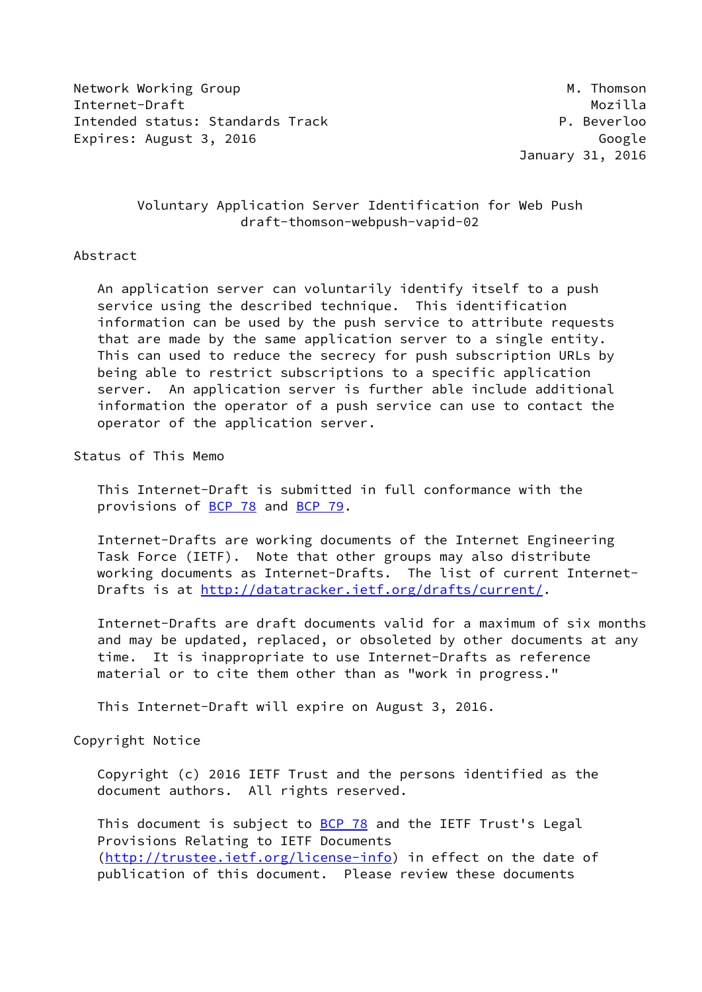Network Working Group Manuscript Communication of the Manuscript Manuscript Manuscript Manuscript Ma Internet-Draft Mozilla Intended status: Standards Track P. Beverloo Expires: August 3, 2016 Google

January 31, 2016

# Voluntary Application Server Identification for Web Push draft-thomson-webpush-vapid-02

### Abstract

 An application server can voluntarily identify itself to a push service using the described technique. This identification information can be used by the push service to attribute requests that are made by the same application server to a single entity. This can used to reduce the secrecy for push subscription URLs by being able to restrict subscriptions to a specific application server. An application server is further able include additional information the operator of a push service can use to contact the operator of the application server.

Status of This Memo

 This Internet-Draft is submitted in full conformance with the provisions of [BCP 78](https://datatracker.ietf.org/doc/pdf/bcp78) and [BCP 79](https://datatracker.ietf.org/doc/pdf/bcp79).

 Internet-Drafts are working documents of the Internet Engineering Task Force (IETF). Note that other groups may also distribute working documents as Internet-Drafts. The list of current Internet- Drafts is at<http://datatracker.ietf.org/drafts/current/>.

 Internet-Drafts are draft documents valid for a maximum of six months and may be updated, replaced, or obsoleted by other documents at any time. It is inappropriate to use Internet-Drafts as reference material or to cite them other than as "work in progress."

This Internet-Draft will expire on August 3, 2016.

Copyright Notice

 Copyright (c) 2016 IETF Trust and the persons identified as the document authors. All rights reserved.

This document is subject to **[BCP 78](https://datatracker.ietf.org/doc/pdf/bcp78)** and the IETF Trust's Legal Provisions Relating to IETF Documents [\(http://trustee.ietf.org/license-info](http://trustee.ietf.org/license-info)) in effect on the date of publication of this document. Please review these documents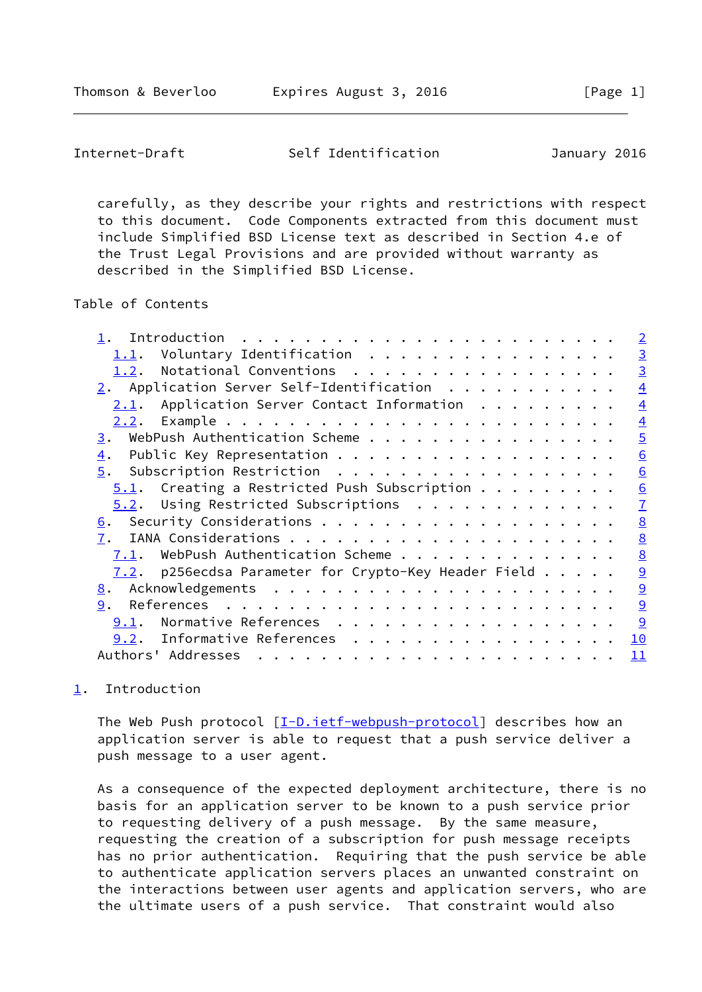<span id="page-1-1"></span>Internet-Draft Self Identification January 2016

 carefully, as they describe your rights and restrictions with respect to this document. Code Components extracted from this document must include Simplified BSD License text as described in Section 4.e of the Trust Legal Provisions and are provided without warranty as described in the Simplified BSD License.

Table of Contents

|  |  | $\overline{2}$                                                                                                                                                                                                                                                                                                                                                                                                                                                                                           |
|--|--|----------------------------------------------------------------------------------------------------------------------------------------------------------------------------------------------------------------------------------------------------------------------------------------------------------------------------------------------------------------------------------------------------------------------------------------------------------------------------------------------------------|
|  |  | $\overline{3}$                                                                                                                                                                                                                                                                                                                                                                                                                                                                                           |
|  |  | $\overline{3}$                                                                                                                                                                                                                                                                                                                                                                                                                                                                                           |
|  |  | $\overline{4}$                                                                                                                                                                                                                                                                                                                                                                                                                                                                                           |
|  |  | $\overline{4}$                                                                                                                                                                                                                                                                                                                                                                                                                                                                                           |
|  |  | $\overline{4}$                                                                                                                                                                                                                                                                                                                                                                                                                                                                                           |
|  |  | $\overline{5}$                                                                                                                                                                                                                                                                                                                                                                                                                                                                                           |
|  |  | 6                                                                                                                                                                                                                                                                                                                                                                                                                                                                                                        |
|  |  | 6                                                                                                                                                                                                                                                                                                                                                                                                                                                                                                        |
|  |  | 6                                                                                                                                                                                                                                                                                                                                                                                                                                                                                                        |
|  |  | $\overline{1}$                                                                                                                                                                                                                                                                                                                                                                                                                                                                                           |
|  |  | $\underline{8}$                                                                                                                                                                                                                                                                                                                                                                                                                                                                                          |
|  |  | $\underline{8}$                                                                                                                                                                                                                                                                                                                                                                                                                                                                                          |
|  |  | $\underline{8}$                                                                                                                                                                                                                                                                                                                                                                                                                                                                                          |
|  |  | $\overline{9}$                                                                                                                                                                                                                                                                                                                                                                                                                                                                                           |
|  |  | $\underline{9}$                                                                                                                                                                                                                                                                                                                                                                                                                                                                                          |
|  |  | $\underline{9}$                                                                                                                                                                                                                                                                                                                                                                                                                                                                                          |
|  |  | 9                                                                                                                                                                                                                                                                                                                                                                                                                                                                                                        |
|  |  | 10                                                                                                                                                                                                                                                                                                                                                                                                                                                                                                       |
|  |  | 11                                                                                                                                                                                                                                                                                                                                                                                                                                                                                                       |
|  |  | Voluntary Identification<br>1.2. Notational Conventions<br>$2.$ Application Server Self-Identification<br>Application Server Contact Information<br>WebPush Authentication Scheme<br>Public Key Representation<br>Subscription Restriction<br>$5.1$ . Creating a Restricted Push Subscription<br>$5.2$ . Using Restricted Subscriptions<br>WebPush Authentication Scheme<br><u>7.2</u> . p256ecdsa Parameter for Crypto-Key Header Field $\ldots$<br>Normative References<br>9.2. Informative References |

# <span id="page-1-0"></span>[1](#page-1-0). Introduction

The Web Push protocol  $[I-D.iet f-webpush-protocol]$  describes how an application server is able to request that a push service deliver a push message to a user agent.

 As a consequence of the expected deployment architecture, there is no basis for an application server to be known to a push service prior to requesting delivery of a push message. By the same measure, requesting the creation of a subscription for push message receipts has no prior authentication. Requiring that the push service be able to authenticate application servers places an unwanted constraint on the interactions between user agents and application servers, who are the ultimate users of a push service. That constraint would also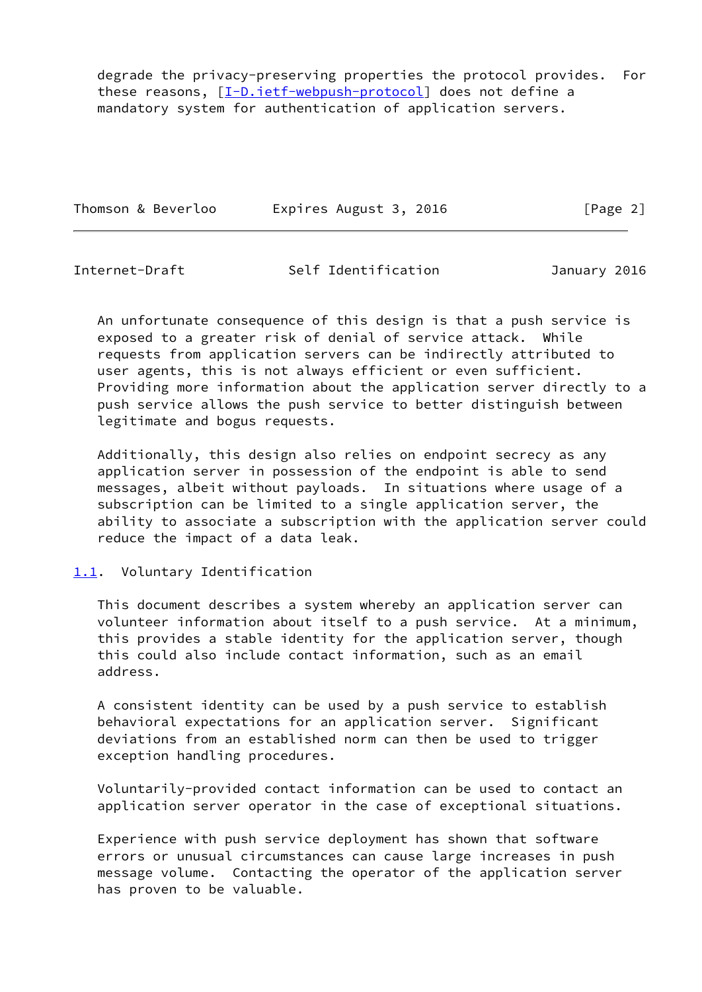degrade the privacy-preserving properties the protocol provides. For these reasons, [\[I-D.ietf-webpush-protocol](#page-9-5)] does not define a mandatory system for authentication of application servers.

| Thomson & Beverloo | Expires August 3, 2016 | [Page 2] |
|--------------------|------------------------|----------|
|--------------------|------------------------|----------|

<span id="page-2-1"></span>Internet-Draft Self Identification January 2016

 An unfortunate consequence of this design is that a push service is exposed to a greater risk of denial of service attack. While requests from application servers can be indirectly attributed to user agents, this is not always efficient or even sufficient. Providing more information about the application server directly to a push service allows the push service to better distinguish between legitimate and bogus requests.

 Additionally, this design also relies on endpoint secrecy as any application server in possession of the endpoint is able to send messages, albeit without payloads. In situations where usage of a subscription can be limited to a single application server, the ability to associate a subscription with the application server could reduce the impact of a data leak.

# <span id="page-2-0"></span>[1.1](#page-2-0). Voluntary Identification

 This document describes a system whereby an application server can volunteer information about itself to a push service. At a minimum, this provides a stable identity for the application server, though this could also include contact information, such as an email address.

 A consistent identity can be used by a push service to establish behavioral expectations for an application server. Significant deviations from an established norm can then be used to trigger exception handling procedures.

 Voluntarily-provided contact information can be used to contact an application server operator in the case of exceptional situations.

 Experience with push service deployment has shown that software errors or unusual circumstances can cause large increases in push message volume. Contacting the operator of the application server has proven to be valuable.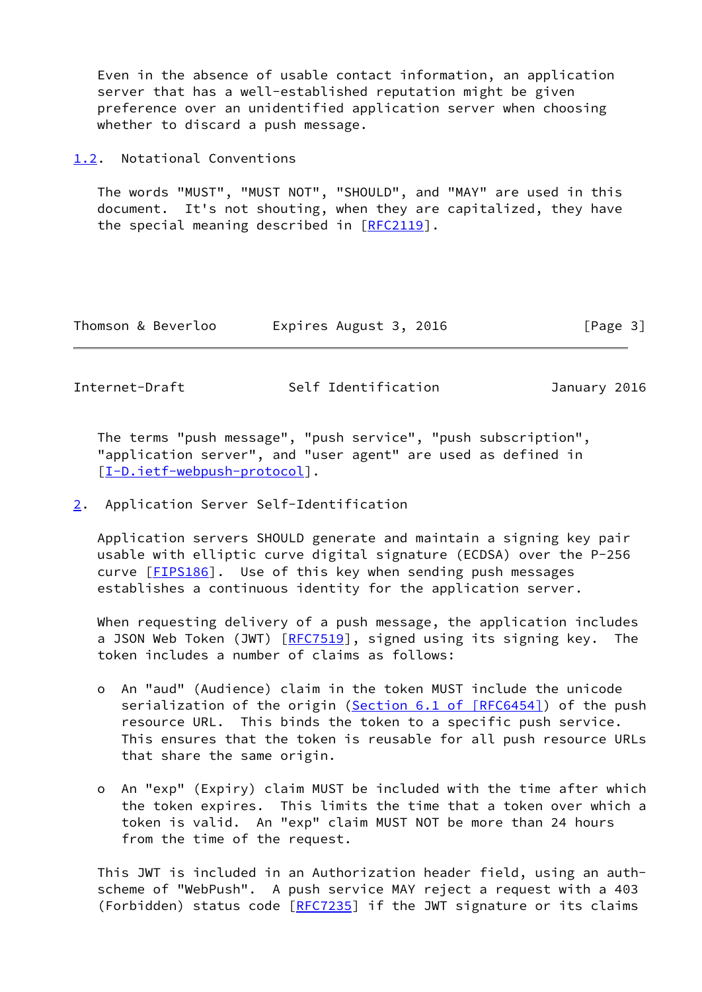Even in the absence of usable contact information, an application server that has a well-established reputation might be given preference over an unidentified application server when choosing whether to discard a push message.

<span id="page-3-0"></span>[1.2](#page-3-0). Notational Conventions

 The words "MUST", "MUST NOT", "SHOULD", and "MAY" are used in this document. It's not shouting, when they are capitalized, they have the special meaning described in [\[RFC2119](https://datatracker.ietf.org/doc/pdf/rfc2119)].

| Thomson & Beverloo | Expires August 3, 2016 | [Page 3] |
|--------------------|------------------------|----------|
|--------------------|------------------------|----------|

<span id="page-3-2"></span>Internet-Draft Self Identification January 2016

 The terms "push message", "push service", "push subscription", "application server", and "user agent" are used as defined in [\[I-D.ietf-webpush-protocol](#page-9-5)].

<span id="page-3-1"></span>[2](#page-3-1). Application Server Self-Identification

 Application servers SHOULD generate and maintain a signing key pair usable with elliptic curve digital signature (ECDSA) over the P-256 curve [[FIPS186](#page-9-6)]. Use of this key when sending push messages establishes a continuous identity for the application server.

 When requesting delivery of a push message, the application includes a JSON Web Token (JWT) [\[RFC7519](https://datatracker.ietf.org/doc/pdf/rfc7519)], signed using its signing key. The token includes a number of claims as follows:

- o An "aud" (Audience) claim in the token MUST include the unicode serialization of the origin (Section [6.1 of \[RFC6454\]](https://datatracker.ietf.org/doc/pdf/rfc6454#section-6.1)) of the push resource URL. This binds the token to a specific push service. This ensures that the token is reusable for all push resource URLs that share the same origin.
- o An "exp" (Expiry) claim MUST be included with the time after which the token expires. This limits the time that a token over which a token is valid. An "exp" claim MUST NOT be more than 24 hours from the time of the request.

 This JWT is included in an Authorization header field, using an auth scheme of "WebPush". A push service MAY reject a request with a 403 (Forbidden) status code [\[RFC7235](https://datatracker.ietf.org/doc/pdf/rfc7235)] if the JWT signature or its claims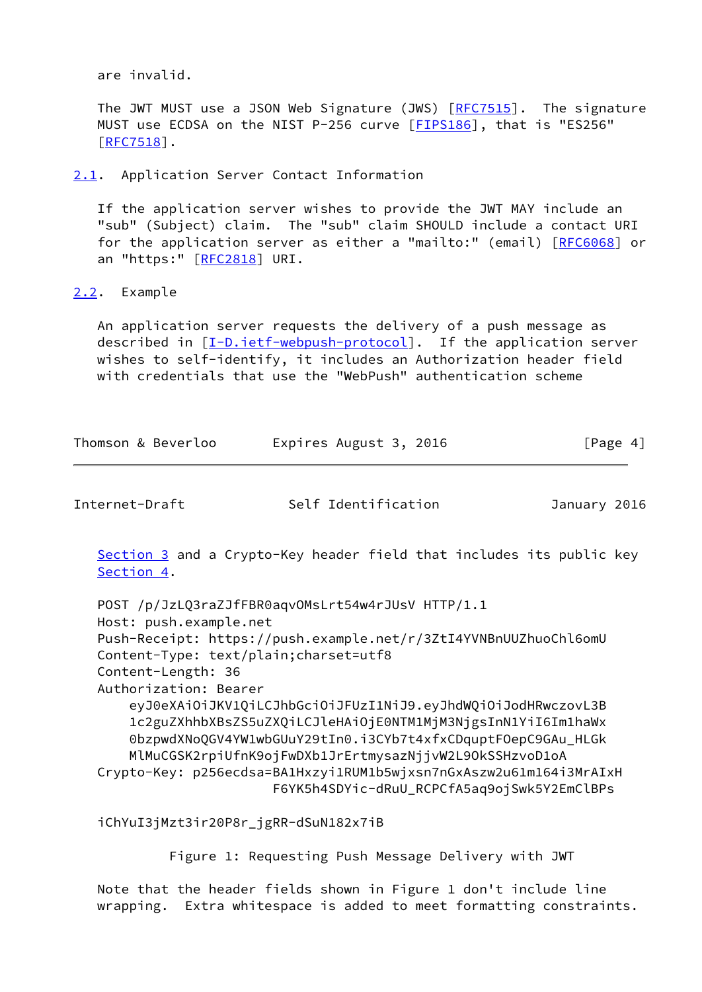are invalid.

 The JWT MUST use a JSON Web Signature (JWS) [\[RFC7515](https://datatracker.ietf.org/doc/pdf/rfc7515)]. The signature MUST use ECDSA on the NIST P-256 curve [\[FIPS186](#page-9-6)], that is "ES256"  $[RFC7518]$  $[RFC7518]$ .

<span id="page-4-0"></span>[2.1](#page-4-0). Application Server Contact Information

 If the application server wishes to provide the JWT MAY include an "sub" (Subject) claim. The "sub" claim SHOULD include a contact URI for the application server as either a "mailto:" (email) [\[RFC6068](https://datatracker.ietf.org/doc/pdf/rfc6068)] or an "https:" [\[RFC2818](https://datatracker.ietf.org/doc/pdf/rfc2818)] URI.

<span id="page-4-1"></span>[2.2](#page-4-1). Example

 An application server requests the delivery of a push message as described in [\[I-D.ietf-webpush-protocol\]](#page-9-5). If the application server wishes to self-identify, it includes an Authorization header field with credentials that use the "WebPush" authentication scheme

| Thomson & Beverloo | Expires August 3, 2016 | [Page 4] |
|--------------------|------------------------|----------|
|--------------------|------------------------|----------|

<span id="page-4-2"></span>Internet-Draft Self Identification January 2016

[Section 3](#page-5-0) and a Crypto-Key header field that includes its public key [Section 4](#page-5-1).

```
 POST /p/JzLQ3raZJfFBR0aqvOMsLrt54w4rJUsV HTTP/1.1
Host: push.example.net
Push-Receipt: https://push.example.net/r/3ZtI4YVNBnUUZhuoChl6omU
Content-Type: text/plain;charset=utf8
Content-Length: 36
Authorization: Bearer
    eyJ0eXAiOiJKV1QiLCJhbGciOiJFUzI1NiJ9.eyJhdWQiOiJodHRwczovL3B
    1c2guZXhhbXBsZS5uZXQiLCJleHAiOjE0NTM1MjM3NjgsInN1YiI6Im1haWx
    0bzpwdXNoQGV4YW1wbGUuY29tIn0.i3CYb7t4xfxCDquptFOepC9GAu_HLGk
    MlMuCGSK2rpiUfnK9ojFwDXb1JrErtmysazNjjvW2L9OkSSHzvoD1oA
Crypto-Key: p256ecdsa=BA1Hxzyi1RUM1b5wjxsn7nGxAszw2u61m164i3MrAIxH
                      F6YK5h4SDYic-dRuU_RCPCfA5aq9ojSwk5Y2EmClBPs
```
iChYuI3jMzt3ir20P8r\_jgRR-dSuN182x7iB

Figure 1: Requesting Push Message Delivery with JWT

 Note that the header fields shown in Figure 1 don't include line wrapping. Extra whitespace is added to meet formatting constraints.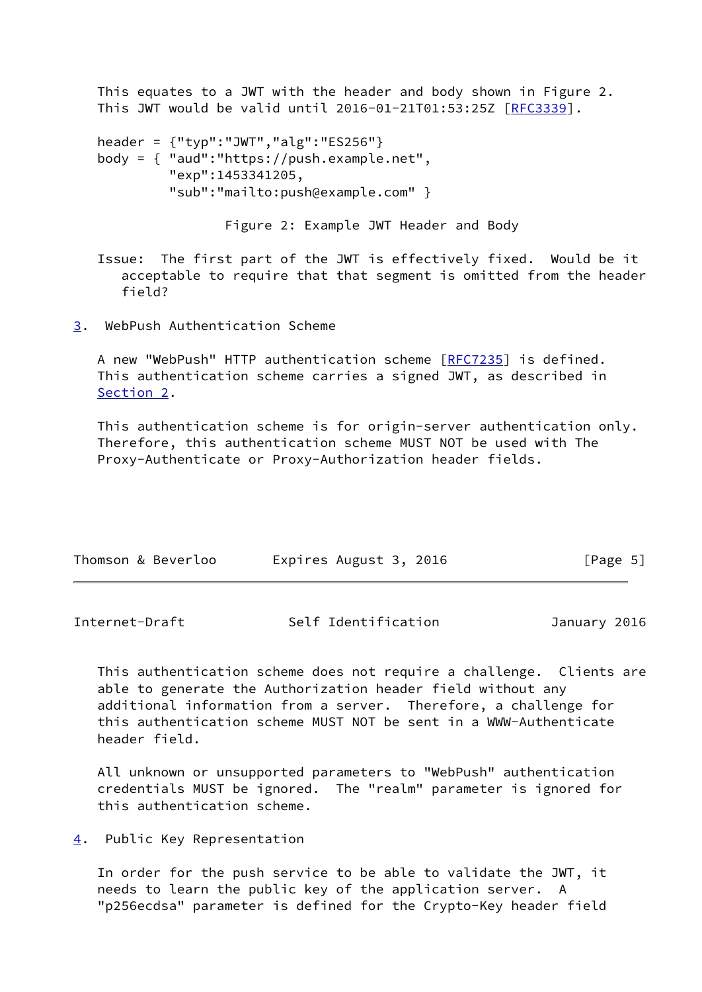This equates to a JWT with the header and body shown in Figure 2. This JWT would be valid until 2016-01-21T01:53:25Z [[RFC3339\]](https://datatracker.ietf.org/doc/pdf/rfc3339).

```
 header = {"typ":"JWT","alg":"ES256"}
body = { "aud":"https://push.example.net",
         "exp":1453341205,
         "sub":"mailto:push@example.com" }
```
Figure 2: Example JWT Header and Body

 Issue: The first part of the JWT is effectively fixed. Would be it acceptable to require that that segment is omitted from the header field?

<span id="page-5-0"></span>[3](#page-5-0). WebPush Authentication Scheme

A new "WebPush" HTTP authentication scheme [[RFC7235\]](https://datatracker.ietf.org/doc/pdf/rfc7235) is defined. This authentication scheme carries a signed JWT, as described in [Section 2](#page-3-1).

 This authentication scheme is for origin-server authentication only. Therefore, this authentication scheme MUST NOT be used with The Proxy-Authenticate or Proxy-Authorization header fields.

| Thomson & Beverloo | Expires August 3, 2016 | [Page 5] |  |
|--------------------|------------------------|----------|--|
|                    |                        |          |  |

<span id="page-5-2"></span>

| Internet-Draft | Self Identification | January 2016 |
|----------------|---------------------|--------------|
|----------------|---------------------|--------------|

 This authentication scheme does not require a challenge. Clients are able to generate the Authorization header field without any additional information from a server. Therefore, a challenge for this authentication scheme MUST NOT be sent in a WWW-Authenticate header field.

 All unknown or unsupported parameters to "WebPush" authentication credentials MUST be ignored. The "realm" parameter is ignored for this authentication scheme.

<span id="page-5-1"></span>[4](#page-5-1). Public Key Representation

 In order for the push service to be able to validate the JWT, it needs to learn the public key of the application server. A "p256ecdsa" parameter is defined for the Crypto-Key header field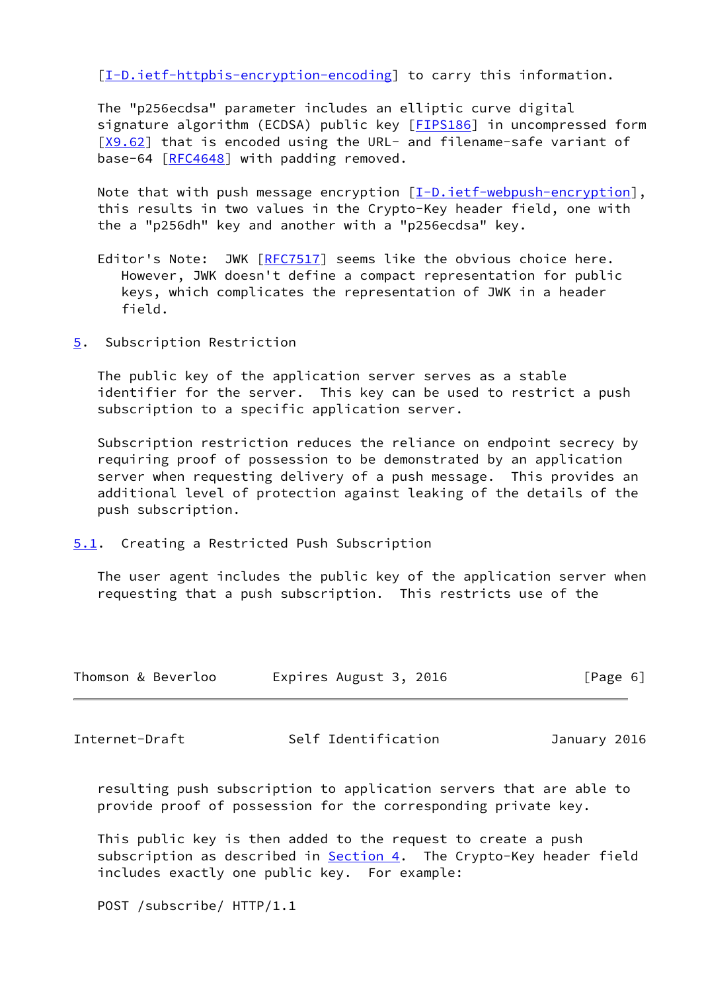[\[I-D.ietf-httpbis-encryption-encoding](#page-9-7)] to carry this information.

 The "p256ecdsa" parameter includes an elliptic curve digital signature algorithm (ECDSA) public key [\[FIPS186](#page-9-6)] in uncompressed form [\[X9.62](#page-10-2)] that is encoded using the URL- and filename-safe variant of base-64 [\[RFC4648](https://datatracker.ietf.org/doc/pdf/rfc4648)] with padding removed.

Note that with push message encryption [\[I-D.ietf-webpush-encryption](#page-10-3)], this results in two values in the Crypto-Key header field, one with the a "p256dh" key and another with a "p256ecdsa" key.

- Editor's Note: JWK [\[RFC7517](https://datatracker.ietf.org/doc/pdf/rfc7517)] seems like the obvious choice here. However, JWK doesn't define a compact representation for public keys, which complicates the representation of JWK in a header field.
- <span id="page-6-0"></span>[5](#page-6-0). Subscription Restriction

 The public key of the application server serves as a stable identifier for the server. This key can be used to restrict a push subscription to a specific application server.

 Subscription restriction reduces the reliance on endpoint secrecy by requiring proof of possession to be demonstrated by an application server when requesting delivery of a push message. This provides an additional level of protection against leaking of the details of the push subscription.

<span id="page-6-1"></span>[5.1](#page-6-1). Creating a Restricted Push Subscription

 The user agent includes the public key of the application server when requesting that a push subscription. This restricts use of the

| Thomson & Beverloo | Expires August 3, 2016 | [Page 6] |
|--------------------|------------------------|----------|
|--------------------|------------------------|----------|

<span id="page-6-2"></span>Internet-Draft Self Identification January 2016

 resulting push subscription to application servers that are able to provide proof of possession for the corresponding private key.

 This public key is then added to the request to create a push subscription as described in **Section 4.** The Crypto-Key header field includes exactly one public key. For example:

POST /subscribe/ HTTP/1.1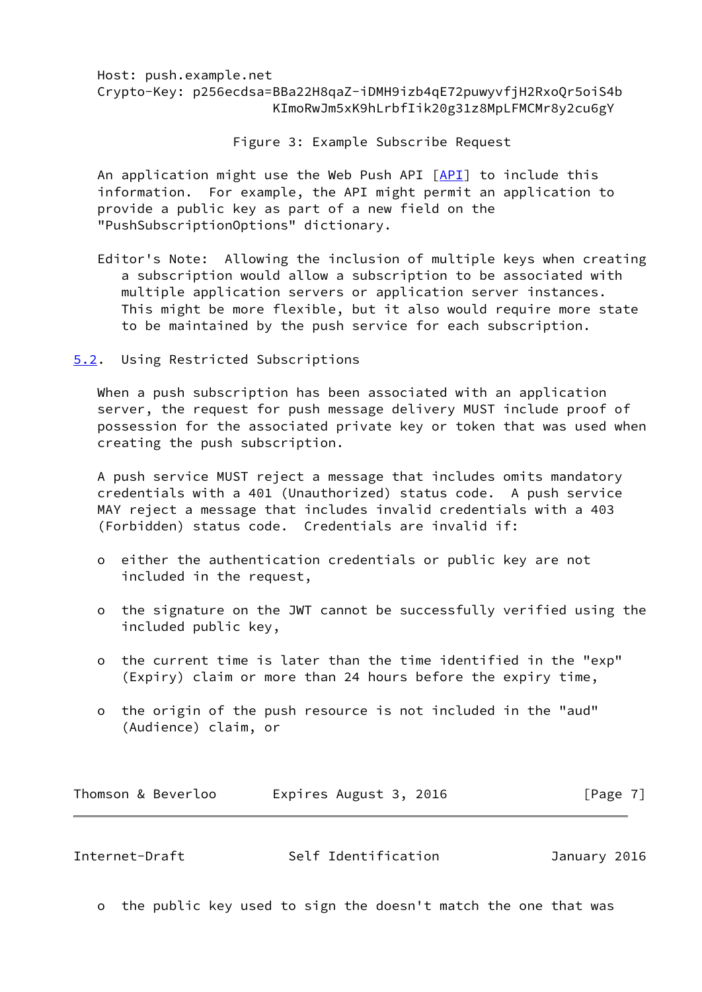# Host: push.example.net Crypto-Key: p256ecdsa=BBa22H8qaZ-iDMH9izb4qE72puwyvfjH2RxoQr5oiS4b KImoRwJm5xK9hLrbfIik20g31z8MpLFMCMr8y2cu6gY

Figure 3: Example Subscribe Request

 An application might use the Web Push API [[API](#page-10-4)] to include this information. For example, the API might permit an application to provide a public key as part of a new field on the "PushSubscriptionOptions" dictionary.

 Editor's Note: Allowing the inclusion of multiple keys when creating a subscription would allow a subscription to be associated with multiple application servers or application server instances. This might be more flexible, but it also would require more state to be maintained by the push service for each subscription.

<span id="page-7-0"></span>[5.2](#page-7-0). Using Restricted Subscriptions

 When a push subscription has been associated with an application server, the request for push message delivery MUST include proof of possession for the associated private key or token that was used when creating the push subscription.

 A push service MUST reject a message that includes omits mandatory credentials with a 401 (Unauthorized) status code. A push service MAY reject a message that includes invalid credentials with a 403 (Forbidden) status code. Credentials are invalid if:

- o either the authentication credentials or public key are not included in the request,
- o the signature on the JWT cannot be successfully verified using the included public key,
- o the current time is later than the time identified in the "exp" (Expiry) claim or more than 24 hours before the expiry time,
- o the origin of the push resource is not included in the "aud" (Audience) claim, or

| Thomson & Beverloo | Expires August 3, 2016 | [Page 7] |
|--------------------|------------------------|----------|
|--------------------|------------------------|----------|

<span id="page-7-1"></span>

| Self Identification<br>Internet-Draft<br>January 2016 |
|-------------------------------------------------------|
|-------------------------------------------------------|

o the public key used to sign the doesn't match the one that was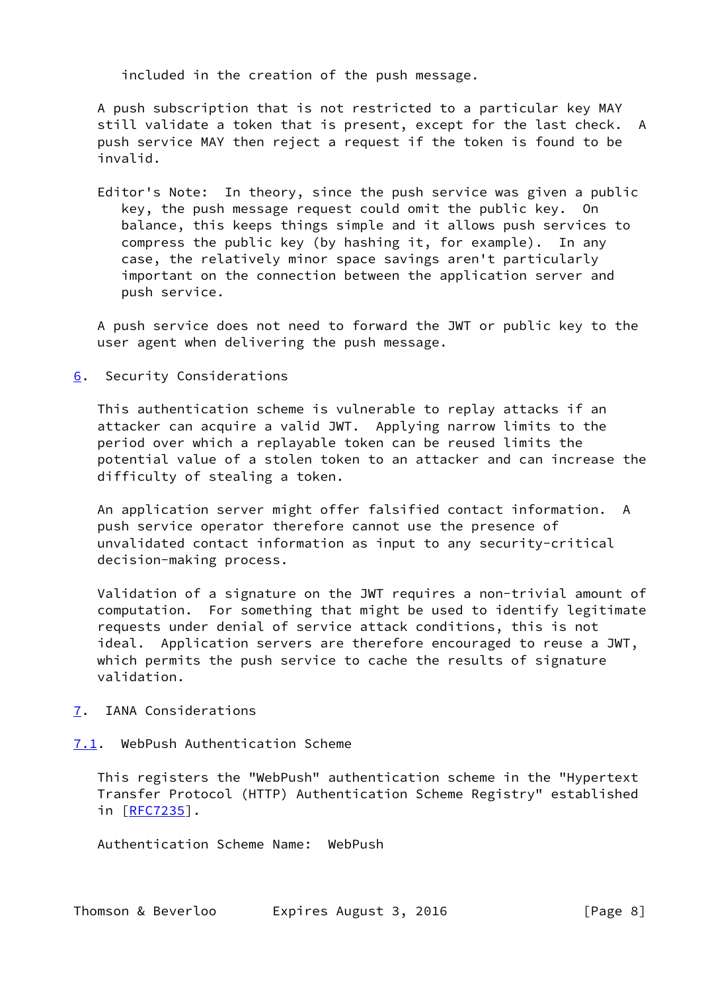included in the creation of the push message.

 A push subscription that is not restricted to a particular key MAY still validate a token that is present, except for the last check. A push service MAY then reject a request if the token is found to be invalid.

 Editor's Note: In theory, since the push service was given a public key, the push message request could omit the public key. On balance, this keeps things simple and it allows push services to compress the public key (by hashing it, for example). In any case, the relatively minor space savings aren't particularly important on the connection between the application server and push service.

 A push service does not need to forward the JWT or public key to the user agent when delivering the push message.

<span id="page-8-0"></span>[6](#page-8-0). Security Considerations

 This authentication scheme is vulnerable to replay attacks if an attacker can acquire a valid JWT. Applying narrow limits to the period over which a replayable token can be reused limits the potential value of a stolen token to an attacker and can increase the difficulty of stealing a token.

 An application server might offer falsified contact information. A push service operator therefore cannot use the presence of unvalidated contact information as input to any security-critical decision-making process.

 Validation of a signature on the JWT requires a non-trivial amount of computation. For something that might be used to identify legitimate requests under denial of service attack conditions, this is not ideal. Application servers are therefore encouraged to reuse a JWT, which permits the push service to cache the results of signature validation.

- <span id="page-8-1"></span>[7](#page-8-1). IANA Considerations
- <span id="page-8-2"></span>[7.1](#page-8-2). WebPush Authentication Scheme

 This registers the "WebPush" authentication scheme in the "Hypertext Transfer Protocol (HTTP) Authentication Scheme Registry" established in [[RFC7235\]](https://datatracker.ietf.org/doc/pdf/rfc7235).

Authentication Scheme Name: WebPush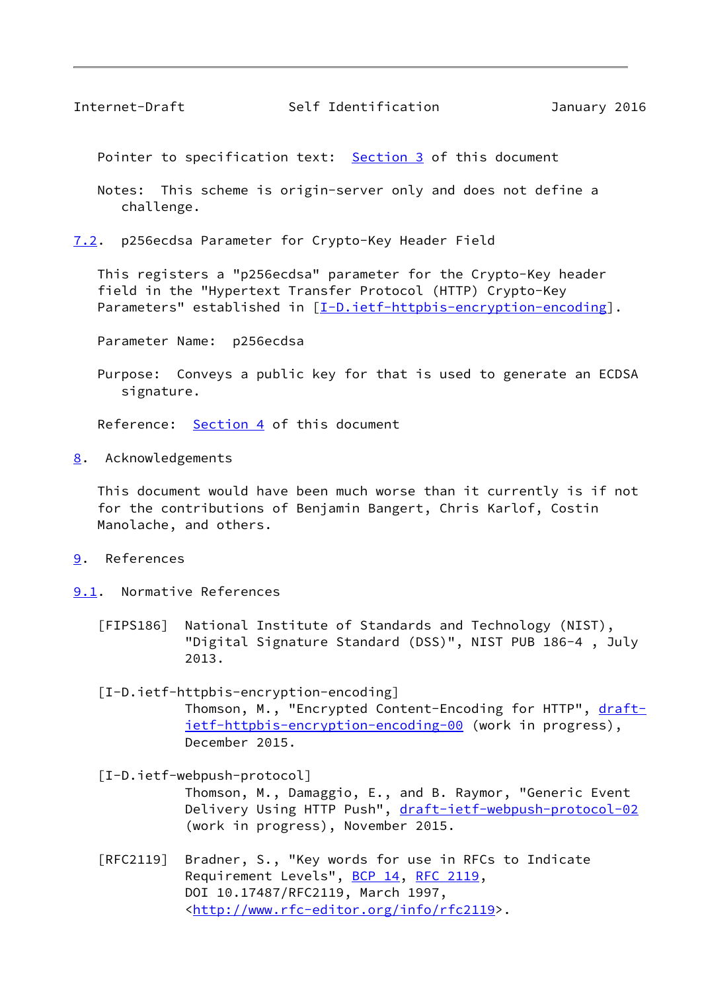<span id="page-9-1"></span>Pointer to specification text: [Section 3](#page-5-0) of this document

 Notes: This scheme is origin-server only and does not define a challenge.

<span id="page-9-0"></span>[7.2](#page-9-0). p256ecdsa Parameter for Crypto-Key Header Field

 This registers a "p256ecdsa" parameter for the Crypto-Key header field in the "Hypertext Transfer Protocol (HTTP) Crypto-Key Parameters" established in [[I-D.ietf-httpbis-encryption-encoding\]](#page-9-7).

Parameter Name: p256ecdsa

 Purpose: Conveys a public key for that is used to generate an ECDSA signature.

Reference: [Section 4](#page-5-1) of this document

<span id="page-9-2"></span>[8](#page-9-2). Acknowledgements

 This document would have been much worse than it currently is if not for the contributions of Benjamin Bangert, Chris Karlof, Costin Manolache, and others.

- <span id="page-9-3"></span>[9](#page-9-3). References
- <span id="page-9-6"></span><span id="page-9-4"></span>[9.1](#page-9-4). Normative References
	- [FIPS186] National Institute of Standards and Technology (NIST), "Digital Signature Standard (DSS)", NIST PUB 186-4 , July 2013.

<span id="page-9-7"></span> [I-D.ietf-httpbis-encryption-encoding] Thomson, M., "Encrypted Content-Encoding for HTTP", [draft](https://datatracker.ietf.org/doc/pdf/draft-ietf-httpbis-encryption-encoding-00) [ietf-httpbis-encryption-encoding-00](https://datatracker.ietf.org/doc/pdf/draft-ietf-httpbis-encryption-encoding-00) (work in progress), December 2015.

<span id="page-9-5"></span> [I-D.ietf-webpush-protocol] Thomson, M., Damaggio, E., and B. Raymor, "Generic Event Delivery Using HTTP Push", [draft-ietf-webpush-protocol-02](https://datatracker.ietf.org/doc/pdf/draft-ietf-webpush-protocol-02) (work in progress), November 2015.

 [RFC2119] Bradner, S., "Key words for use in RFCs to Indicate Requirement Levels", [BCP 14](https://datatracker.ietf.org/doc/pdf/bcp14), [RFC 2119](https://datatracker.ietf.org/doc/pdf/rfc2119), DOI 10.17487/RFC2119, March 1997, <<http://www.rfc-editor.org/info/rfc2119>>.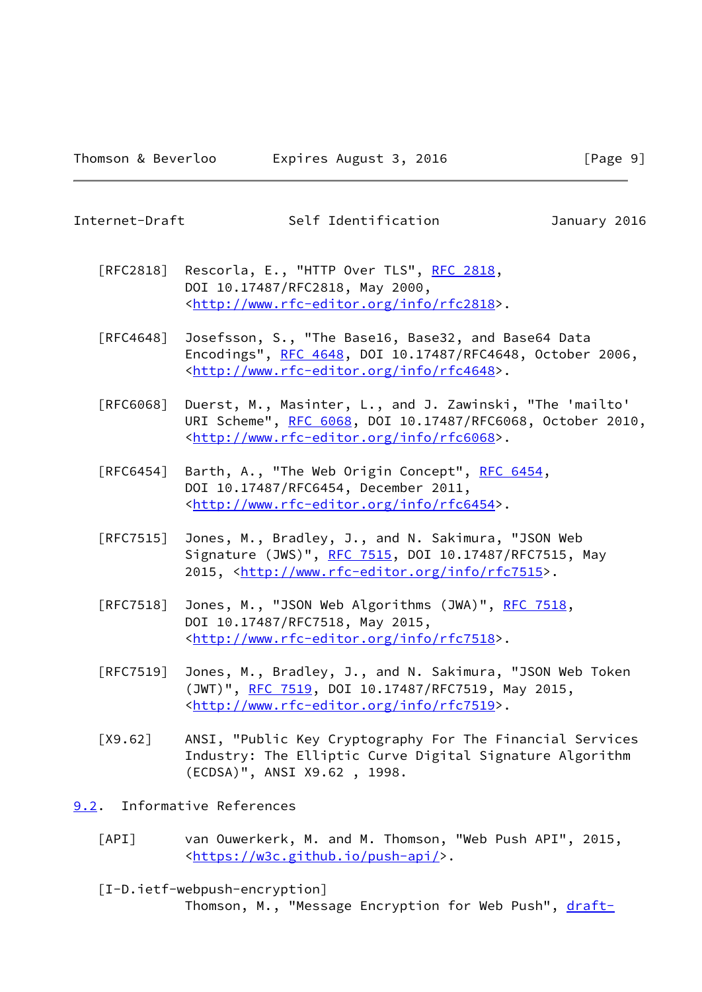<span id="page-10-1"></span>Internet-Draft Self Identification January 2016

- [RFC2818] Rescorla, E., "HTTP Over TLS", [RFC 2818](https://datatracker.ietf.org/doc/pdf/rfc2818), DOI 10.17487/RFC2818, May 2000, <<http://www.rfc-editor.org/info/rfc2818>>.
- [RFC4648] Josefsson, S., "The Base16, Base32, and Base64 Data Encodings", [RFC 4648,](https://datatracker.ietf.org/doc/pdf/rfc4648) DOI 10.17487/RFC4648, October 2006, <<http://www.rfc-editor.org/info/rfc4648>>.
- [RFC6068] Duerst, M., Masinter, L., and J. Zawinski, "The 'mailto' URI Scheme", [RFC 6068](https://datatracker.ietf.org/doc/pdf/rfc6068), DOI 10.17487/RFC6068, October 2010, <<http://www.rfc-editor.org/info/rfc6068>>.
- [RFC6454] Barth, A., "The Web Origin Concept", [RFC 6454](https://datatracker.ietf.org/doc/pdf/rfc6454), DOI 10.17487/RFC6454, December 2011, <<http://www.rfc-editor.org/info/rfc6454>>.
- [RFC7515] Jones, M., Bradley, J., and N. Sakimura, "JSON Web Signature (JWS)", [RFC 7515](https://datatracker.ietf.org/doc/pdf/rfc7515), DOI 10.17487/RFC7515, May 2015, [<http://www.rfc-editor.org/info/rfc7515](http://www.rfc-editor.org/info/rfc7515)>.
- [RFC7518] Jones, M., "JSON Web Algorithms (JWA)", [RFC 7518,](https://datatracker.ietf.org/doc/pdf/rfc7518) DOI 10.17487/RFC7518, May 2015, <<http://www.rfc-editor.org/info/rfc7518>>.
- [RFC7519] Jones, M., Bradley, J., and N. Sakimura, "JSON Web Token (JWT)", [RFC 7519,](https://datatracker.ietf.org/doc/pdf/rfc7519) DOI 10.17487/RFC7519, May 2015, <<http://www.rfc-editor.org/info/rfc7519>>.
- <span id="page-10-2"></span> [X9.62] ANSI, "Public Key Cryptography For The Financial Services Industry: The Elliptic Curve Digital Signature Algorithm (ECDSA)", ANSI X9.62 , 1998.
- <span id="page-10-4"></span><span id="page-10-3"></span><span id="page-10-0"></span>[9.2](#page-10-0). Informative References
	- [API] van Ouwerkerk, M. and M. Thomson, "Web Push API", 2015, <[https://w3c.github.io/push-api/>](https://w3c.github.io/push-api/).
	- [I-D.ietf-webpush-encryption] Thomson, M., "Message Encryption for Web Push", [draft-](https://datatracker.ietf.org/doc/pdf/draft-ietf-webpush-encryption-01)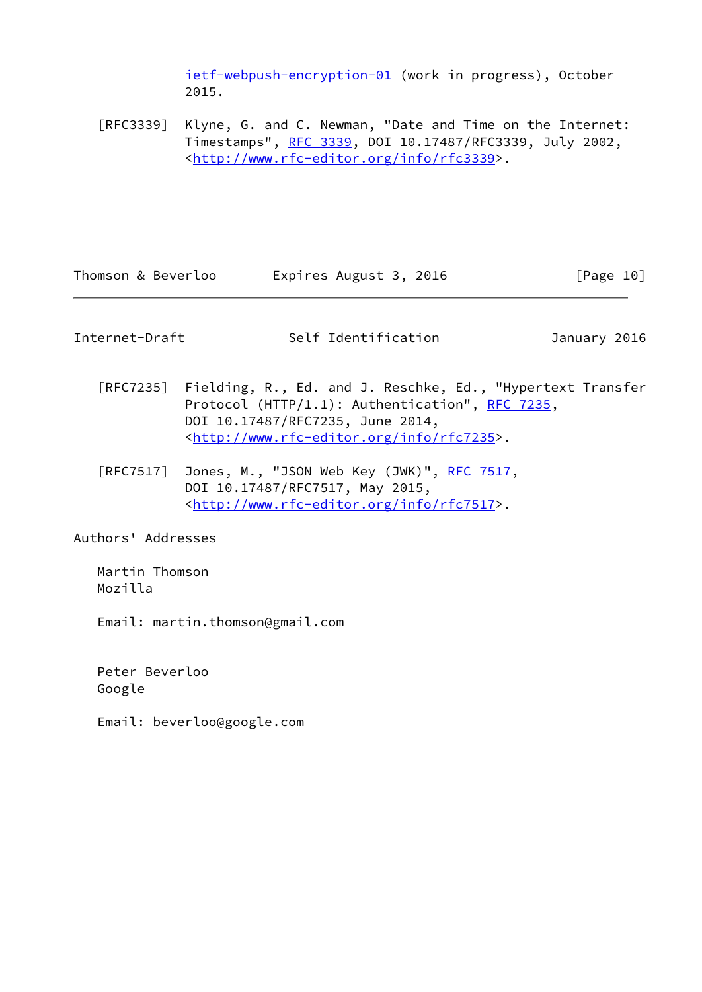[ietf-webpush-encryption-01](https://datatracker.ietf.org/doc/pdf/draft-ietf-webpush-encryption-01) (work in progress), October 2015.

 [RFC3339] Klyne, G. and C. Newman, "Date and Time on the Internet: Timestamps", [RFC 3339](https://datatracker.ietf.org/doc/pdf/rfc3339), DOI 10.17487/RFC3339, July 2002, <<http://www.rfc-editor.org/info/rfc3339>>.

Thomson & Beverloo Expires August 3, 2016 [Page 10]

<span id="page-11-0"></span>Internet-Draft Self Identification January 2016

- [RFC7235] Fielding, R., Ed. and J. Reschke, Ed., "Hypertext Transfer Protocol (HTTP/1.1): Authentication", [RFC 7235](https://datatracker.ietf.org/doc/pdf/rfc7235), DOI 10.17487/RFC7235, June 2014, <<http://www.rfc-editor.org/info/rfc7235>>.
- [RFC7517] Jones, M., "JSON Web Key (JWK)", [RFC 7517,](https://datatracker.ietf.org/doc/pdf/rfc7517) DOI 10.17487/RFC7517, May 2015, <<http://www.rfc-editor.org/info/rfc7517>>.

Authors' Addresses

 Martin Thomson Mozilla

Email: martin.thomson@gmail.com

 Peter Beverloo Google

Email: beverloo@google.com